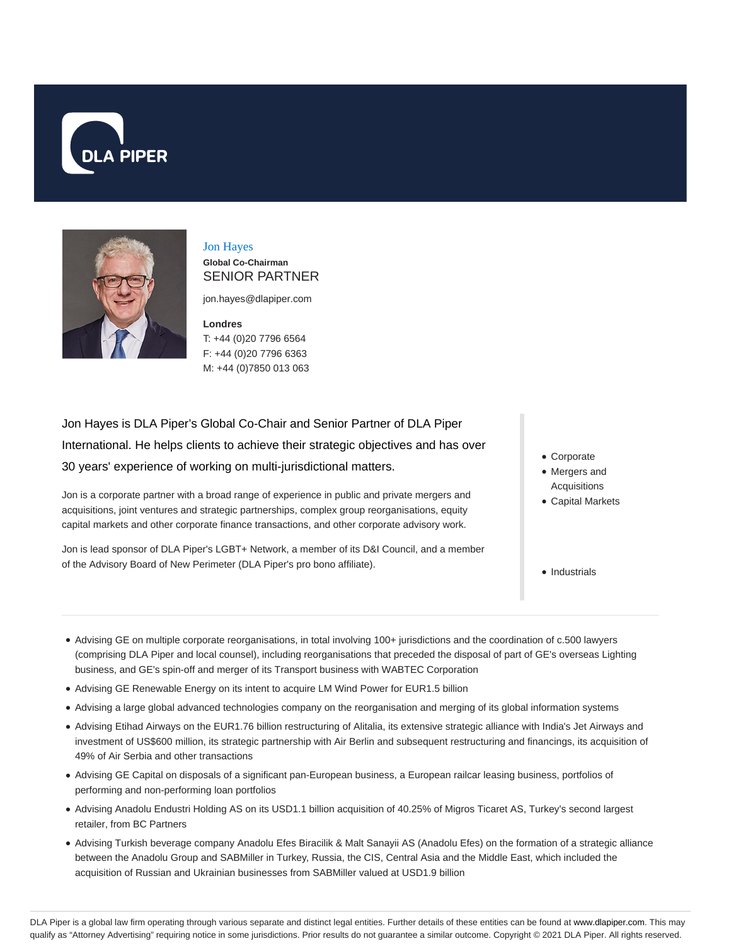



# Jon Hayes

**Global Co-Chairman** SENIOR PARTNER

jon.hayes@dlapiper.com

**Londres** T: +44 (0)20 7796 6564 F: +44 (0)20 7796 6363 M: +44 (0)7850 013 063

Jon Hayes is DLA Piper's Global Co-Chair and Senior Partner of DLA Piper International. He helps clients to achieve their strategic objectives and has over 30 years' experience of working on multi-jurisdictional matters.

Jon is a corporate partner with a broad range of experience in public and private mergers and acquisitions, joint ventures and strategic partnerships, complex group reorganisations, equity capital markets and other corporate finance transactions, and other corporate advisory work.

Jon is lead sponsor of DLA Piper's LGBT+ Network, a member of its D&I Council, and a member of the Advisory Board of New Perimeter (DLA Piper's pro bono affiliate).

- Corporate
- Mergers and Acquisitions
- Capital Markets
- Industrials
- Advising GE on multiple corporate reorganisations, in total involving 100+ jurisdictions and the coordination of c.500 lawyers (comprising DLA Piper and local counsel), including reorganisations that preceded the disposal of part of GE's overseas Lighting business, and GE's spin-off and merger of its Transport business with WABTEC Corporation
- Advising GE Renewable Energy on its intent to acquire LM Wind Power for EUR1.5 billion
- Advising a large global advanced technologies company on the reorganisation and merging of its global information systems
- Advising Etihad Airways on the EUR1.76 billion restructuring of Alitalia, its extensive strategic alliance with India's Jet Airways and investment of US\$600 million, its strategic partnership with Air Berlin and subsequent restructuring and financings, its acquisition of 49% of Air Serbia and other transactions
- Advising GE Capital on disposals of a significant pan-European business, a European railcar leasing business, portfolios of performing and non-performing loan portfolios
- Advising Anadolu Endustri Holding AS on its USD1.1 billion acquisition of 40.25% of Migros Ticaret AS, Turkey's second largest retailer, from BC Partners
- Advising Turkish beverage company Anadolu Efes Biracilik & Malt Sanayii AS (Anadolu Efes) on the formation of a strategic alliance between the Anadolu Group and SABMiller in Turkey, Russia, the CIS, Central Asia and the Middle East, which included the acquisition of Russian and Ukrainian businesses from SABMiller valued at USD1.9 billion